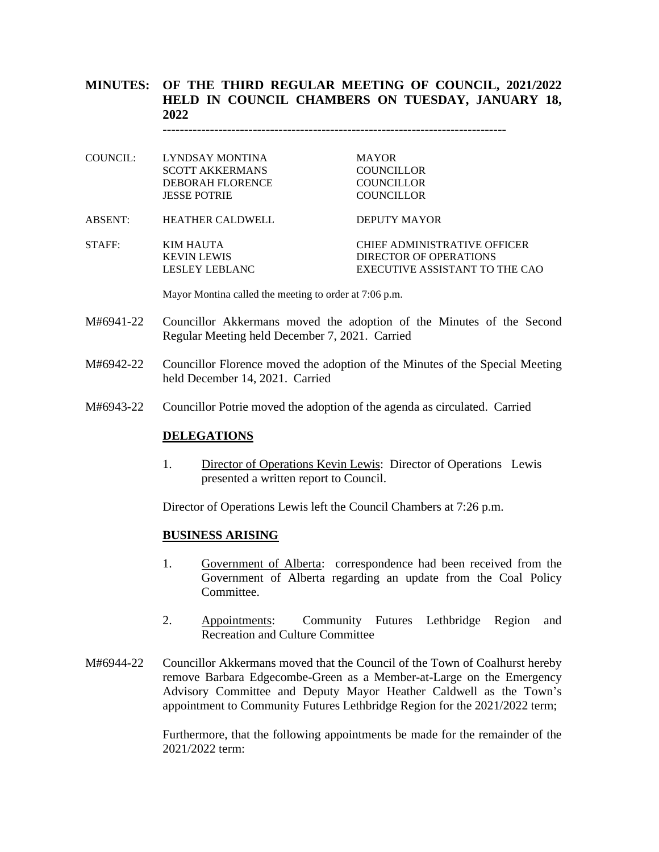## **MINUTES: OF THE THIRD REGULAR MEETING OF COUNCIL, 2021/2022 HELD IN COUNCIL CHAMBERS ON TUESDAY, JANUARY 18, 2022**

**--------------------------------------------------------------------------------**

MAYOR<sub>.</sub> **COUNCILLOR COUNCILLOR COUNCILLOR** 

|  | COUNCIL: LYNDSAY MONTINA |  |
|--|--------------------------|--|
|  | SCOTT AKKERMANS          |  |
|  | DEBORAH FLORENCE         |  |
|  | <b>JESSE POTRIE</b>      |  |
|  |                          |  |

ABSENT: HEATHER CALDWELL DEPUTY MAYOR

STAFF: KIM HAUTA CHIEF ADMINISTRATIVE OFFICER KEVIN LEWIS DIRECTOR OF OPERATIONS LESLEY LEBLANC EXECUTIVE ASSISTANT TO THE CAO

Mayor Montina called the meeting to order at 7:06 p.m.

- M#6941-22 Councillor Akkermans moved the adoption of the Minutes of the Second Regular Meeting held December 7, 2021. Carried
- M#6942-22 Councillor Florence moved the adoption of the Minutes of the Special Meeting held December 14, 2021. Carried
- M#6943-22 Councillor Potrie moved the adoption of the agenda as circulated. Carried

#### **DELEGATIONS**

1. Director of Operations Kevin Lewis: Director of Operations Lewis presented a written report to Council.

Director of Operations Lewis left the Council Chambers at 7:26 p.m.

#### **BUSINESS ARISING**

- 1. Government of Alberta: correspondence had been received from the Government of Alberta regarding an update from the Coal Policy Committee.
- 2. Appointments: Community Futures Lethbridge Region and Recreation and Culture Committee
- M#6944-22 Councillor Akkermans moved that the Council of the Town of Coalhurst hereby remove Barbara Edgecombe-Green as a Member-at-Large on the Emergency Advisory Committee and Deputy Mayor Heather Caldwell as the Town's appointment to Community Futures Lethbridge Region for the 2021/2022 term;

Furthermore, that the following appointments be made for the remainder of the 2021/2022 term: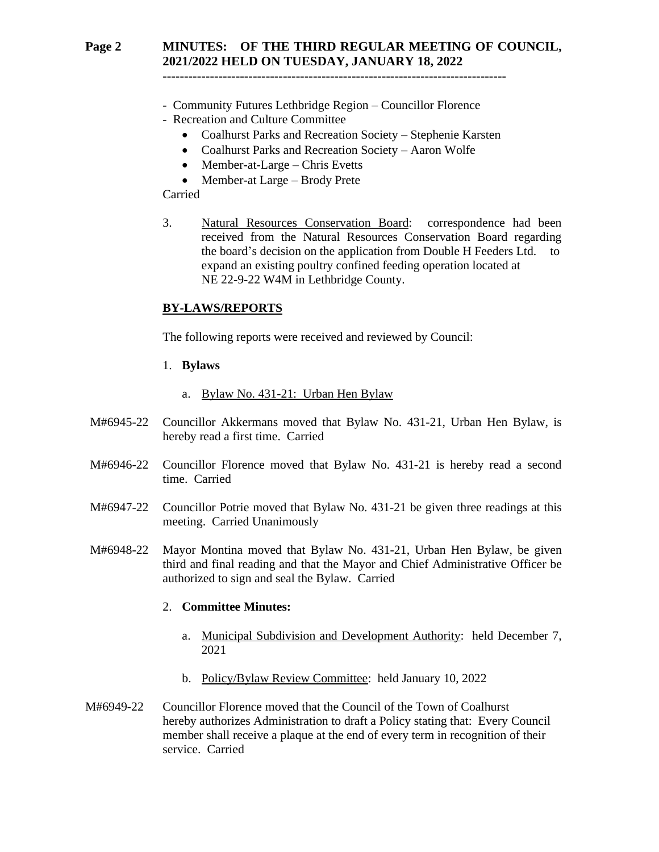## **Page 2 MINUTES: OF THE THIRD REGULAR MEETING OF COUNCIL, 2021/2022 HELD ON TUESDAY, JANUARY 18, 2022**

**--------------------------------------------------------------------------------**

#### - Community Futures Lethbridge Region – Councillor Florence - Recreation and Culture Committee

- Coalhurst Parks and Recreation Society Stephenie Karsten
- Coalhurst Parks and Recreation Society Aaron Wolfe
- Member-at-Large Chris Evetts
- Member-at Large Brody Prete

### Carried

3. Natural Resources Conservation Board: correspondence had been received from the Natural Resources Conservation Board regarding the board's decision on the application from Double H Feeders Ltd. to expand an existing poultry confined feeding operation located at NE 22-9-22 W4M in Lethbridge County.

### **BY-LAWS/REPORTS**

The following reports were received and reviewed by Council:

- 1. **Bylaws** 
	- a. Bylaw No. 431-21: Urban Hen Bylaw
- M#6945-22 Councillor Akkermans moved that Bylaw No. 431-21, Urban Hen Bylaw, is hereby read a first time. Carried
- M#6946-22 Councillor Florence moved that Bylaw No. 431-21 is hereby read a second time. Carried
- M#6947-22 Councillor Potrie moved that Bylaw No. 431-21 be given three readings at this meeting. Carried Unanimously
- M#6948-22 Mayor Montina moved that Bylaw No. 431-21, Urban Hen Bylaw, be given third and final reading and that the Mayor and Chief Administrative Officer be authorized to sign and seal the Bylaw. Carried

## 2. **Committee Minutes:**

- a. Municipal Subdivision and Development Authority: held December 7, 2021
- b. Policy/Bylaw Review Committee: held January 10, 2022
- M#6949-22 Councillor Florence moved that the Council of the Town of Coalhurst hereby authorizes Administration to draft a Policy stating that: Every Council member shall receive a plaque at the end of every term in recognition of their service. Carried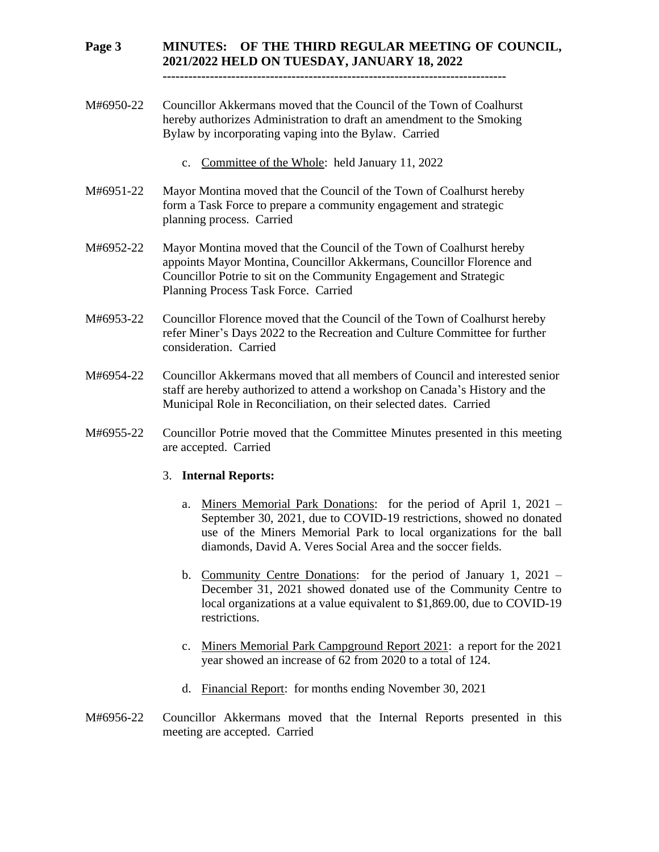## **Page 3 MINUTES: OF THE THIRD REGULAR MEETING OF COUNCIL, 2021/2022 HELD ON TUESDAY, JANUARY 18, 2022**

**--------------------------------------------------------------------------------**

- M#6950-22 Councillor Akkermans moved that the Council of the Town of Coalhurst hereby authorizes Administration to draft an amendment to the Smoking Bylaw by incorporating vaping into the Bylaw. Carried
	- c. Committee of the Whole: held January 11, 2022
- M#6951-22 Mayor Montina moved that the Council of the Town of Coalhurst hereby form a Task Force to prepare a community engagement and strategic planning process. Carried
- M#6952-22 Mayor Montina moved that the Council of the Town of Coalhurst hereby appoints Mayor Montina, Councillor Akkermans, Councillor Florence and Councillor Potrie to sit on the Community Engagement and Strategic Planning Process Task Force. Carried
- M#6953-22 Councillor Florence moved that the Council of the Town of Coalhurst hereby refer Miner's Days 2022 to the Recreation and Culture Committee for further consideration. Carried
- M#6954-22 Councillor Akkermans moved that all members of Council and interested senior staff are hereby authorized to attend a workshop on Canada's History and the Municipal Role in Reconciliation, on their selected dates. Carried
- M#6955-22 Councillor Potrie moved that the Committee Minutes presented in this meeting are accepted. Carried

#### 3. **Internal Reports:**

- a. Miners Memorial Park Donations: for the period of April 1, 2021 September 30, 2021, due to COVID-19 restrictions, showed no donated use of the Miners Memorial Park to local organizations for the ball diamonds, David A. Veres Social Area and the soccer fields.
- b. Community Centre Donations: for the period of January 1, 2021 December 31, 2021 showed donated use of the Community Centre to local organizations at a value equivalent to \$1,869.00, due to COVID-19 restrictions.
- c. Miners Memorial Park Campground Report 2021: a report for the 2021 year showed an increase of 62 from 2020 to a total of 124.
- d. Financial Report: for months ending November 30, 2021
- M#6956-22 Councillor Akkermans moved that the Internal Reports presented in this meeting are accepted. Carried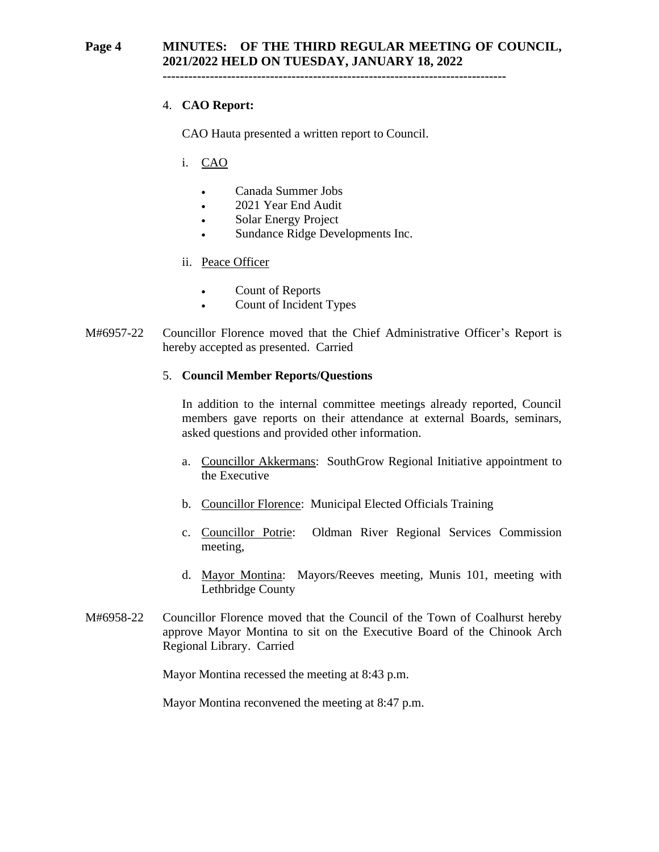## **Page 4 MINUTES: OF THE THIRD REGULAR MEETING OF COUNCIL, 2021/2022 HELD ON TUESDAY, JANUARY 18, 2022**

**--------------------------------------------------------------------------------**

## 4. **CAO Report:**

CAO Hauta presented a written report to Council.

- i. CAO
	- Canada Summer Jobs
	- 2021 Year End Audit
	- Solar Energy Project
	- Sundance Ridge Developments Inc.
- ii. Peace Officer
	- Count of Reports
	- Count of Incident Types
- M#6957-22 Councillor Florence moved that the Chief Administrative Officer's Report is hereby accepted as presented. Carried

### 5. **Council Member Reports/Questions**

In addition to the internal committee meetings already reported, Council members gave reports on their attendance at external Boards, seminars, asked questions and provided other information.

- a. Councillor Akkermans: SouthGrow Regional Initiative appointment to the Executive
- b. Councillor Florence: Municipal Elected Officials Training
- c. Councillor Potrie: Oldman River Regional Services Commission meeting,
- d. Mayor Montina: Mayors/Reeves meeting, Munis 101, meeting with Lethbridge County
- M#6958-22 Councillor Florence moved that the Council of the Town of Coalhurst hereby approve Mayor Montina to sit on the Executive Board of the Chinook Arch Regional Library. Carried

Mayor Montina recessed the meeting at 8:43 p.m.

Mayor Montina reconvened the meeting at 8:47 p.m.